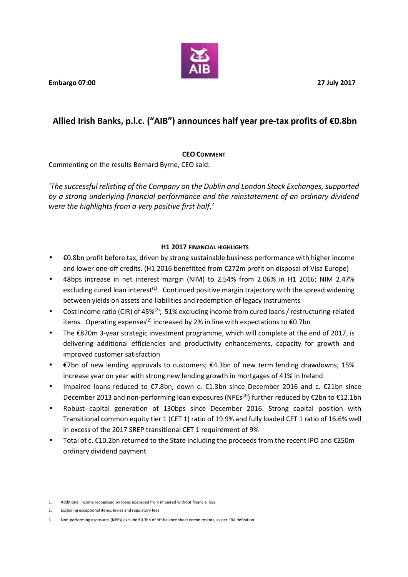**Embargo 07:00 27 July 2017**

# **Allied Irish Banks, p.l.c. ("AIB") announces half year pre-tax profits of €0.8bn**

# **CEO COMMENT**

Commenting on the results Bernard Byrne, CEO said:

*'The successful relisting of the Company on the Dublin and London Stock Exchanges, supported by a strong underlying financial performance and the reinstatement of an ordinary dividend were the highlights from a very positive first half.'*

## **H1 2017 FINANCIAL HIGHLIGHTS**

- €0.8bn profit before tax, driven by strong sustainable business performance with higher income and lower one-off credits. (H1 2016 benefitted from €272m profit on disposal of Visa Europe)
- 48bps increase in net interest margin (NIM) to 2.54% from 2.06% in H1 2016; NIM 2.47% excluding cured loan interest<sup>(1)</sup>. Continued positive margin trajectory with the spread widening between yields on assets and liabilities and redemption of legacy instruments
- Cost income ratio (CIR) of 45%<sup>(2)</sup>; 51% excluding income from cured loans / restructuring-related items. Operating expenses<sup>(2)</sup> increased by 2% in line with expectations to €0.7bn
- The €870m 3-year strategic investment programme, which will complete at the end of 2017, is delivering additional efficiencies and productivity enhancements, capacity for growth and improved customer satisfaction
- €7bn of new lending approvals to customers; €4.3bn of new term lending drawdowns; 15% increase year on year with strong new lending growth in mortgages of 41% in Ireland
- Impaired loans reduced to €7.8bn, down c. €1.3bn since December 2016 and c. €21bn since December 2013 and non-performing loan exposures (NPEs<sup>(3)</sup>) further reduced by €2bn to €12.1bn
- Robust capital generation of 130bps since December 2016. Strong capital position with Transitional common equity tier 1 (CET 1) ratio of 19.9% and fully loaded CET 1 ratio of 16.6% well in excess of the 2017 SREP transitional CET 1 requirement of 9%
- Total of c. €10.2bn returned to the State including the proceeds from the recent IPO and €250m ordinary dividend payment

<sup>1.</sup> Additional income recognised on loans upgraded from impaired without financial loss

<sup>2.</sup> Excluding exceptional items, levies and regulatory fees

<sup>3.</sup> Non-performing exposures (NPEs) exclude €0.3bn of off-balance sheet commitments, as per EBA definition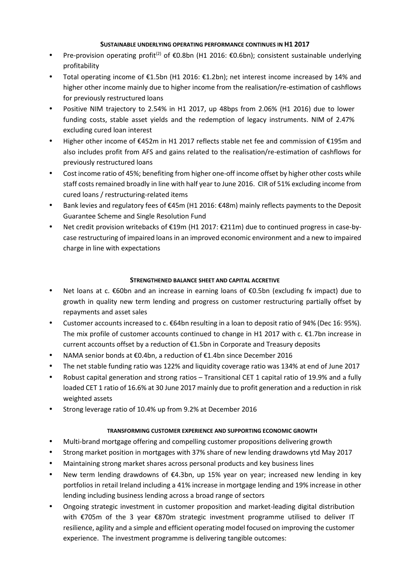## **SUSTAINABLE UNDERLYING OPERATING PERFORMANCE CONTINUES IN H1 2017**

- Pre-provision operating profit<sup>(2)</sup> of €0.8bn (H1 2016: €0.6bn); consistent sustainable underlying profitability
- Total operating income of €1.5bn (H1 2016: €1.2bn); net interest income increased by 14% and higher other income mainly due to higher income from the realisation/re-estimation of cashflows for previously restructured loans
- Positive NIM trajectory to 2.54% in H1 2017, up 48bps from 2.06% (H1 2016) due to lower funding costs, stable asset yields and the redemption of legacy instruments. NIM of 2.47% excluding cured loan interest
- Higher other income of €452m in H1 2017 reflects stable net fee and commission of €195m and also includes profit from AFS and gains related to the realisation/re-estimation of cashflows for previously restructured loans
- Cost income ratio of 45%; benefiting from higher one-off income offset by higher other costs while staff costs remained broadly in line with half year to June 2016. CIR of 51% excluding income from cured loans / restructuring-related items
- Bank levies and regulatory fees of €45m (H1 2016: €48m) mainly reflects payments to the Deposit Guarantee Scheme and Single Resolution Fund
- Net credit provision writebacks of €19m (H1 2017: €211m) due to continued progress in case-by case restructuring of impaired loans in an improved economic environment and a new to impaired charge in line with expectations

## **STRENGTHENED BALANCE SHEET AND CAPITAL ACCRETIVE**

- Net loans at c. €60bn and an increase in earning loans of €0.5bn (excluding fx impact) due to growth in quality new term lending and progress on customer restructuring partially offset by repayments and asset sales
- Customer accounts increased to c.€64bn resulting in a loan to deposit ratio of 94% (Dec 16: 95%). The mix profile of customer accounts continued to change in H1 2017 with c.  $\epsilon$ 1.7bn increase in current accounts offset by a reduction of €1.5bn in Corporate and Treasury deposits
- NAMA senior bonds at €0.4bn, a reduction of €1.4bn since December 2016
- The net stable funding ratio was 122% and liquidity coverage ratio was 134% at end of June 2017
- Robust capital generation and strong ratios Transitional CET 1 capital ratio of 19.9% and a fully loaded CET 1 ratio of 16.6% at 30 June 2017 mainly due to profit generation and a reduction in risk weighted assets
- Strong leverage ratio of 10.4% up from 9.2% at December 2016

# **TRANSFORMING CUSTOMER EXPERIENCE AND SUPPORTING ECONOMIC GROWTH**

- Multi-brand mortgage offering and compelling customer propositions delivering growth
- Strong market position in mortgages with 37% share of new lending drawdowns ytd May 2017
- Maintaining strong market shares across personal products and key business lines
- New term lending drawdowns of €4.3bn, up 15% year on year; increased new lending in key portfolios in retail Ireland including a 41% increase in mortgage lending and 19% increase in other lending including business lending across a broad range of sectors
- Ongoing strategic investment in customer proposition and market-leading digital distribution with €705m of the 3 year €870m strategic investment programme utilised to deliver IT resilience, agility and a simple and efficient operating model focused on improving the customer experience. The investment programme is delivering tangible outcomes: